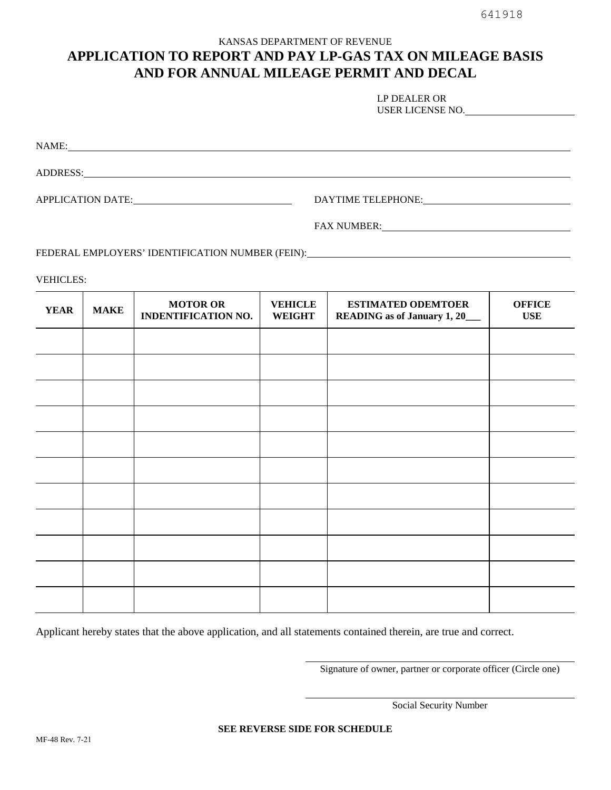## KANSAS DEPARTMENT OF REVENUE **APPLICATION TO REPORT AND PAY LP-GAS TAX ON MILEAGE BASIS AND FOR ANNUAL MILEAGE PERMIT AND DECAL**

| LP DEALER OR     |  |
|------------------|--|
| USER LICENSE NO. |  |
|                  |  |

NAME: NAME:

ADDRESS: New York Contract to the ADDRESS:

APPLICATION DATE: DAYTIME TELEPHONE:

FAX NUMBER:

FEDERAL EMPLOYERS' IDENTIFICATION NUMBER (FEIN): **CONSIDERAL EMPLOYERS'** IDENTIFICATION NUMBER (FEIN):

VEHICLES:

| <b>YEAR</b> | <b>MAKE</b> | <b>MOTOR OR</b><br><b>INDENTIFICATION NO.</b> | <b>VEHICLE</b><br><b>WEIGHT</b> | <b>ESTIMATED ODEMTOER</b><br><b>READING</b> as of January 1, 20_ | <b>OFFICE</b><br><b>USE</b> |
|-------------|-------------|-----------------------------------------------|---------------------------------|------------------------------------------------------------------|-----------------------------|
|             |             |                                               |                                 |                                                                  |                             |
|             |             |                                               |                                 |                                                                  |                             |
|             |             |                                               |                                 |                                                                  |                             |
|             |             |                                               |                                 |                                                                  |                             |
|             |             |                                               |                                 |                                                                  |                             |
|             |             |                                               |                                 |                                                                  |                             |
|             |             |                                               |                                 |                                                                  |                             |
|             |             |                                               |                                 |                                                                  |                             |
|             |             |                                               |                                 |                                                                  |                             |
|             |             |                                               |                                 |                                                                  |                             |
|             |             |                                               |                                 |                                                                  |                             |

Applicant hereby states that the above application, and all statements contained therein, are true and correct.

Signature of owner, partner or corporate officer (Circle one)

Social Security Number